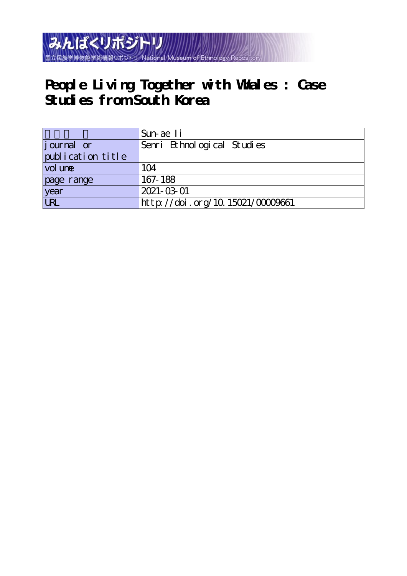

# **People Living Together with Whales : Case Studies from South Korea**

|                            | Sun-ae Ii                        |
|----------------------------|----------------------------------|
| journal or                 | Senri Ethnological Studies       |
| publication title          |                                  |
| $\vert$ vol un $\mathbf e$ | 104                              |
| page range                 | 167-188                          |
| year                       | 2021-03-01                       |
| URL                        | http://doi.org/10.15021/00009661 |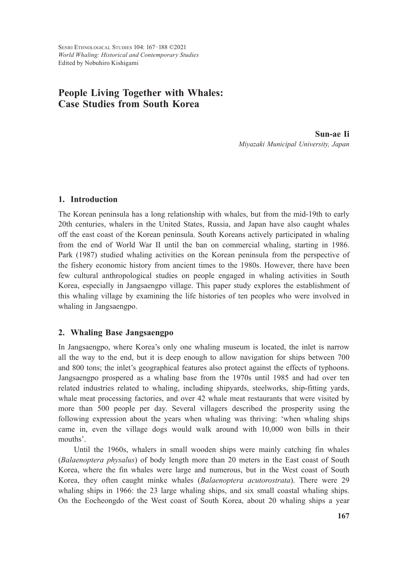# **People Living Together with Whales: Case Studies from South Korea**

**Sun-ae Ii** *Miyazaki Municipal University, Japan*

# **1. Introduction**

The Korean peninsula has a long relationship with whales, but from the mid-19th to early 20th centuries, whalers in the United States, Russia, and Japan have also caught whales off the east coast of the Korean peninsula. South Koreans actively participated in whaling from the end of World War II until the ban on commercial whaling, starting in 1986. Park (1987) studied whaling activities on the Korean peninsula from the perspective of the fishery economic history from ancient times to the 1980s. However, there have been few cultural anthropological studies on people engaged in whaling activities in South Korea, especially in Jangsaengpo village. This paper study explores the establishment of this whaling village by examining the life histories of ten peoples who were involved in whaling in Jangsaengpo.

#### **2. Whaling Base Jangsaengpo**

In Jangsaengpo, where Korea's only one whaling museum is located, the inlet is narrow all the way to the end, but it is deep enough to allow navigation for ships between 700 and 800 tons; the inlet's geographical features also protect against the effects of typhoons. Jangsaengpo prospered as a whaling base from the 1970s until 1985 and had over ten related industries related to whaling, including shipyards, steelworks, ship-fitting yards, whale meat processing factories, and over 42 whale meat restaurants that were visited by more than 500 people per day. Several villagers described the prosperity using the following expression about the years when whaling was thriving: 'when whaling ships came in, even the village dogs would walk around with 10,000 won bills in their mouths'.

Until the 1960s, whalers in small wooden ships were mainly catching fin whales (*Balaenoptera physalus*) of body length more than 20 meters in the East coast of South Korea, where the fin whales were large and numerous, but in the West coast of South Korea, they often caught minke whales (*Balaenoptera acutorostrata*). There were 29 whaling ships in 1966: the 23 large whaling ships, and six small coastal whaling ships. On the Eocheongdo of the West coast of South Korea, about 20 whaling ships a year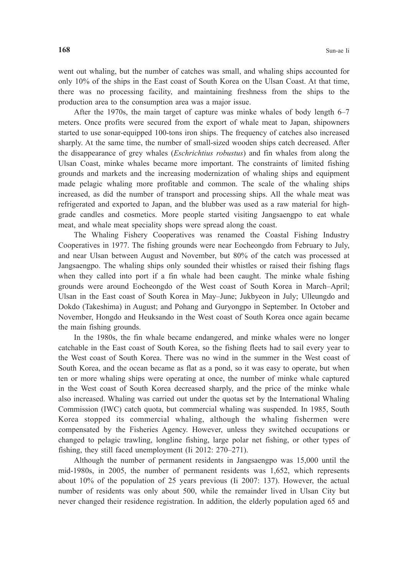went out whaling, but the number of catches was small, and whaling ships accounted for only 10% of the ships in the East coast of South Korea on the Ulsan Coast. At that time, there was no processing facility, and maintaining freshness from the ships to the production area to the consumption area was a major issue.

After the 1970s, the main target of capture was minke whales of body length 6–7 meters. Once profits were secured from the export of whale meat to Japan, shipowners started to use sonar-equipped 100-tons iron ships. The frequency of catches also increased sharply. At the same time, the number of small-sized wooden ships catch decreased. After the disappearance of grey whales (*Eschrichtius robustus*) and fin whales from along the Ulsan Coast, minke whales became more important. The constraints of limited fishing grounds and markets and the increasing modernization of whaling ships and equipment made pelagic whaling more profitable and common. The scale of the whaling ships increased, as did the number of transport and processing ships. All the whale meat was refrigerated and exported to Japan, and the blubber was used as a raw material for highgrade candles and cosmetics. More people started visiting Jangsaengpo to eat whale meat, and whale meat speciality shops were spread along the coast.

The Whaling Fishery Cooperatives was renamed the Coastal Fishing Industry Cooperatives in 1977. The fishing grounds were near Eocheongdo from February to July, and near Ulsan between August and November, but 80% of the catch was processed at Jangsaengpo. The whaling ships only sounded their whistles or raised their fishing flags when they called into port if a fin whale had been caught. The minke whale fishing grounds were around Eocheongdo of the West coast of South Korea in March–April; Ulsan in the East coast of South Korea in May–June; Jukbyeon in July; Ulleungdo and Dokdo (Takeshima) in August; and Pohang and Guryongpo in September. In October and November, Hongdo and Heuksando in the West coast of South Korea once again became the main fishing grounds.

In the 1980s, the fin whale became endangered, and minke whales were no longer catchable in the East coast of South Korea, so the fishing fleets had to sail every year to the West coast of South Korea. There was no wind in the summer in the West coast of South Korea, and the ocean became as flat as a pond, so it was easy to operate, but when ten or more whaling ships were operating at once, the number of minke whale captured in the West coast of South Korea decreased sharply, and the price of the minke whale also increased. Whaling was carried out under the quotas set by the International Whaling Commission (IWC) catch quota, but commercial whaling was suspended. In 1985, South Korea stopped its commercial whaling, although the whaling fishermen were compensated by the Fisheries Agency. However, unless they switched occupations or changed to pelagic trawling, longline fishing, large polar net fishing, or other types of fishing, they still faced unemployment (Ii 2012: 270–271).

Although the number of permanent residents in Jangsaengpo was 15,000 until the mid-1980s, in 2005, the number of permanent residents was 1,652, which represents about 10% of the population of 25 years previous (Ii 2007: 137). However, the actual number of residents was only about 500, while the remainder lived in Ulsan City but never changed their residence registration. In addition, the elderly population aged 65 and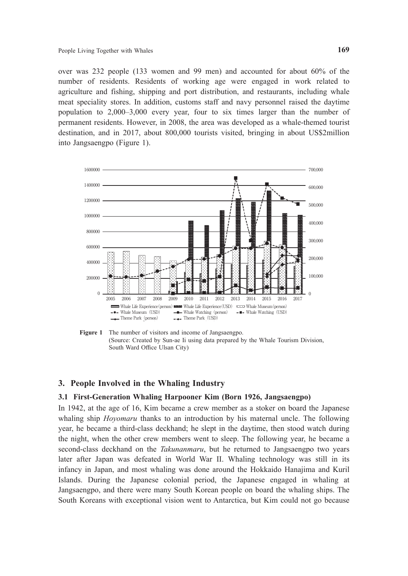over was 232 people (133 women and 99 men) and accounted for about 60% of the number of residents. Residents of working age were engaged in work related to agriculture and fishing, shipping and port distribution, and restaurants, including whale meat speciality stores. In addition, customs staff and navy personnel raised the daytime population to 2,000–3,000 every year, four to six times larger than the number of permanent residents. However, in 2008, the area was developed as a whale-themed tourist destination, and in 2017, about 800,000 tourists visited, bringing in about US\$2million into Jangsaengpo (Figure 1).



**Figure 1** The number of visitors and income of Jangsaengpo. (Source: Created by Sun-ae Ii using data prepared by the Whale Tourism Division, South Ward Office Ulsan City)

#### **3. People Involved in the Whaling Industry**

# **3.1 First-Generation Whaling Harpooner Kim (Born 1926, Jangsaengpo)**

In 1942, at the age of 16, Kim became a crew member as a stoker on board the Japanese whaling ship *Hoyomaru* thanks to an introduction by his maternal uncle. The following year, he became a third-class deckhand; he slept in the daytime, then stood watch during the night, when the other crew members went to sleep. The following year, he became a second-class deckhand on the *Takunanmaru*, but he returned to Jangsaengpo two years later after Japan was defeated in World War II. Whaling technology was still in its infancy in Japan, and most whaling was done around the Hokkaido Hanajima and Kuril Islands. During the Japanese colonial period, the Japanese engaged in whaling at Jangsaengpo, and there were many South Korean people on board the whaling ships. The South Koreans with exceptional vision went to Antarctica, but Kim could not go because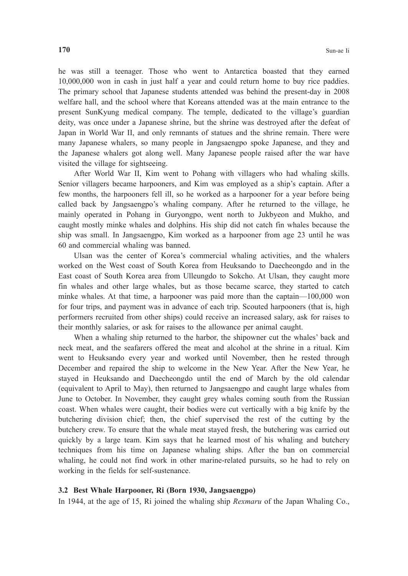he was still a teenager. Those who went to Antarctica boasted that they earned 10,000,000 won in cash in just half a year and could return home to buy rice paddies. The primary school that Japanese students attended was behind the present-day in 2008 welfare hall, and the school where that Koreans attended was at the main entrance to the present SunKyung medical company. The temple, dedicated to the village's guardian deity, was once under a Japanese shrine, but the shrine was destroyed after the defeat of Japan in World War II, and only remnants of statues and the shrine remain. There were many Japanese whalers, so many people in Jangsaengpo spoke Japanese, and they and the Japanese whalers got along well. Many Japanese people raised after the war have visited the village for sightseeing.

After World War II, Kim went to Pohang with villagers who had whaling skills. Senior villagers became harpooners, and Kim was employed as a ship's captain. After a few months, the harpooners fell ill, so he worked as a harpooner for a year before being called back by Jangsaengpo's whaling company. After he returned to the village, he mainly operated in Pohang in Guryongpo, went north to Jukbyeon and Mukho, and caught mostly minke whales and dolphins. His ship did not catch fin whales because the ship was small. In Jangsaengpo, Kim worked as a harpooner from age 23 until he was 60 and commercial whaling was banned.

Ulsan was the center of Korea's commercial whaling activities, and the whalers worked on the West coast of South Korea from Heuksando to Daecheongdo and in the East coast of South Korea area from Ulleungdo to Sokcho. At Ulsan, they caught more fin whales and other large whales, but as those became scarce, they started to catch minke whales. At that time, a harpooner was paid more than the captain—100,000 won for four trips, and payment was in advance of each trip. Scouted harpooners (that is, high performers recruited from other ships) could receive an increased salary, ask for raises to their monthly salaries, or ask for raises to the allowance per animal caught.

When a whaling ship returned to the harbor, the shipowner cut the whales' back and neck meat, and the seafarers offered the meat and alcohol at the shrine in a ritual. Kim went to Heuksando every year and worked until November, then he rested through December and repaired the ship to welcome in the New Year. After the New Year, he stayed in Heuksando and Daecheongdo until the end of March by the old calendar (equivalent to April to May), then returned to Jangsaengpo and caught large whales from June to October. In November, they caught grey whales coming south from the Russian coast. When whales were caught, their bodies were cut vertically with a big knife by the butchering division chief; then, the chief supervised the rest of the cutting by the butchery crew. To ensure that the whale meat stayed fresh, the butchering was carried out quickly by a large team. Kim says that he learned most of his whaling and butchery techniques from his time on Japanese whaling ships. After the ban on commercial whaling, he could not find work in other marine-related pursuits, so he had to rely on working in the fields for self-sustenance.

#### **3.2 Best Whale Harpooner, Ri (Born 1930, Jangsaengpo)**

In 1944, at the age of 15, Ri joined the whaling ship *Rexmaru* of the Japan Whaling Co.,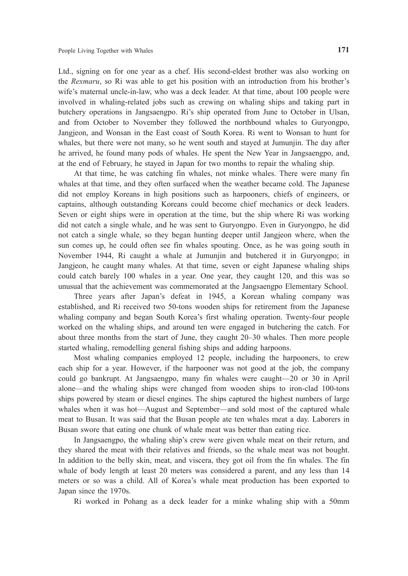Ltd., signing on for one year as a chef. His second-eldest brother was also working on the *Rexmaru*, so Ri was able to get his position with an introduction from his brother's wife's maternal uncle-in-law, who was a deck leader. At that time, about 100 people were involved in whaling-related jobs such as crewing on whaling ships and taking part in butchery operations in Jangsaengpo. Ri's ship operated from June to October in Ulsan, and from October to November they followed the northbound whales to Guryongpo, Jangjeon, and Wonsan in the East coast of South Korea. Ri went to Wonsan to hunt for whales, but there were not many, so he went south and stayed at Jumunjin. The day after he arrived, he found many pods of whales. He spent the New Year in Jangsaengpo, and, at the end of February, he stayed in Japan for two months to repair the whaling ship.

At that time, he was catching fin whales, not minke whales. There were many fin whales at that time, and they often surfaced when the weather became cold. The Japanese did not employ Koreans in high positions such as harpooners, chiefs of engineers, or captains, although outstanding Koreans could become chief mechanics or deck leaders. Seven or eight ships were in operation at the time, but the ship where Ri was working did not catch a single whale, and he was sent to Guryongpo. Even in Guryongpo, he did not catch a single whale, so they began hunting deeper until Jangjeon where, when the sun comes up, he could often see fin whales spouting. Once, as he was going south in November 1944, Ri caught a whale at Jumunjin and butchered it in Guryongpo; in Jangjeon, he caught many whales. At that time, seven or eight Japanese whaling ships could catch barely 100 whales in a year. One year, they caught 120, and this was so unusual that the achievement was commemorated at the Jangsaengpo Elementary School.

Three years after Japan's defeat in 1945, a Korean whaling company was established, and Ri received two 50-tons wooden ships for retirement from the Japanese whaling company and began South Korea's first whaling operation. Twenty-four people worked on the whaling ships, and around ten were engaged in butchering the catch. For about three months from the start of June, they caught 20–30 whales. Then more people started whaling, remodelling general fishing ships and adding harpoons.

Most whaling companies employed 12 people, including the harpooners, to crew each ship for a year. However, if the harpooner was not good at the job, the company could go bankrupt. At Jangsaengpo, many fin whales were caught—20 or 30 in April alone—and the whaling ships were changed from wooden ships to iron-clad 100-tons ships powered by steam or diesel engines. The ships captured the highest numbers of large whales when it was hot—August and September—and sold most of the captured whale meat to Busan. It was said that the Busan people ate ten whales meat a day. Laborers in Busan swore that eating one chunk of whale meat was better than eating rice.

In Jangsaengpo, the whaling ship's crew were given whale meat on their return, and they shared the meat with their relatives and friends, so the whale meat was not bought. In addition to the belly skin, meat, and viscera, they got oil from the fin whales. The fin whale of body length at least 20 meters was considered a parent, and any less than 14 meters or so was a child. All of Korea's whale meat production has been exported to Japan since the 1970s.

Ri worked in Pohang as a deck leader for a minke whaling ship with a 50mm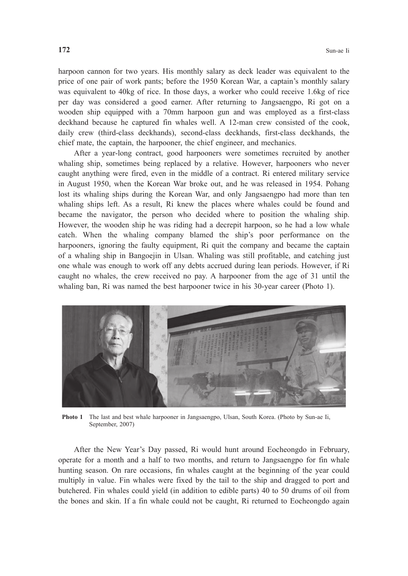harpoon cannon for two years. His monthly salary as deck leader was equivalent to the price of one pair of work pants; before the 1950 Korean War, a captain's monthly salary was equivalent to 40kg of rice. In those days, a worker who could receive 1.6kg of rice per day was considered a good earner. After returning to Jangsaengpo, Ri got on a wooden ship equipped with a 70mm harpoon gun and was employed as a first-class deckhand because he captured fin whales well. A 12-man crew consisted of the cook, daily crew (third-class deckhands), second-class deckhands, first-class deckhands, the chief mate, the captain, the harpooner, the chief engineer, and mechanics.

 After a year-long contract, good harpooners were sometimes recruited by another whaling ship, sometimes being replaced by a relative. However, harpooners who never caught anything were fired, even in the middle of a contract. Ri entered military service in August 1950, when the Korean War broke out, and he was released in 1954. Pohang lost its whaling ships during the Korean War, and only Jangsaengpo had more than ten whaling ships left. As a result, Ri knew the places where whales could be found and became the navigator, the person who decided where to position the whaling ship. However, the wooden ship he was riding had a decrepit harpoon, so he had a low whale catch. When the whaling company blamed the ship's poor performance on the harpooners, ignoring the faulty equipment, Ri quit the company and became the captain of a whaling ship in Bangoejin in Ulsan. Whaling was still profitable, and catching just one whale was enough to work off any debts accrued during lean periods. However, if Ri caught no whales, the crew received no pay. A harpooner from the age of 31 until the whaling ban, Ri was named the best harpooner twice in his 30-year career (Photo 1).



**Photo 1** The last and best whale harpooner in Jangsaengpo, Ulsan, South Korea. (Photo by Sun-ae Ii, September, 2007)

 After the New Year's Day passed, Ri would hunt around Eocheongdo in February, operate for a month and a half to two months, and return to Jangsaengpo for fin whale hunting season. On rare occasions, fin whales caught at the beginning of the year could multiply in value. Fin whales were fixed by the tail to the ship and dragged to port and butchered. Fin whales could yield (in addition to edible parts) 40 to 50 drums of oil from the bones and skin. If a fin whale could not be caught, Ri returned to Eocheongdo again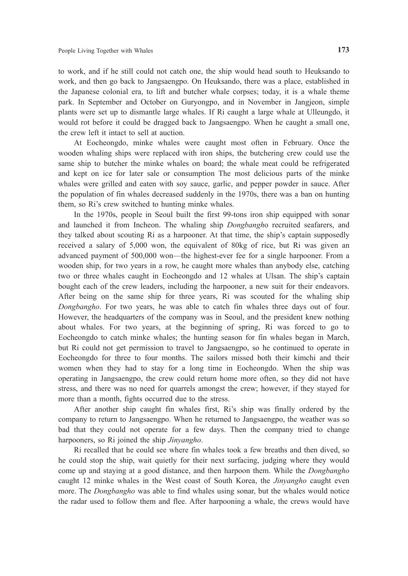to work, and if he still could not catch one, the ship would head south to Heuksando to work, and then go back to Jangsaengpo. On Heuksando, there was a place, established in the Japanese colonial era, to lift and butcher whale corpses; today, it is a whale theme park. In September and October on Guryongpo, and in November in Jangjeon, simple plants were set up to dismantle large whales. If Ri caught a large whale at Ulleungdo, it would rot before it could be dragged back to Jangsaengpo. When he caught a small one, the crew left it intact to sell at auction.

At Eocheongdo, minke whales were caught most often in February. Once the wooden whaling ships were replaced with iron ships, the butchering crew could use the same ship to butcher the minke whales on board; the whale meat could be refrigerated and kept on ice for later sale or consumption The most delicious parts of the minke whales were grilled and eaten with soy sauce, garlic, and pepper powder in sauce. After the population of fin whales decreased suddenly in the 1970s, there was a ban on hunting them, so Ri's crew switched to hunting minke whales.

In the 1970s, people in Seoul built the first 99-tons iron ship equipped with sonar and launched it from Incheon. The whaling ship *Dongbangh*o recruited seafarers, and they talked about scouting Ri as a harpooner. At that time, the ship's captain supposedly received a salary of 5,000 won, the equivalent of 80kg of rice, but Ri was given an advanced payment of 500,000 won—the highest-ever fee for a single harpooner. From a wooden ship, for two years in a row, he caught more whales than anybody else, catching two or three whales caught in Eocheongdo and 12 whales at Ulsan. The ship's captain bought each of the crew leaders, including the harpooner, a new suit for their endeavors. After being on the same ship for three years, Ri was scouted for the whaling ship *Dongbangho*. For two years, he was able to catch fin whales three days out of four. However, the headquarters of the company was in Seoul, and the president knew nothing about whales. For two years, at the beginning of spring, Ri was forced to go to Eocheongdo to catch minke whales; the hunting season for fin whales began in March, but Ri could not get permission to travel to Jangsaengpo, so he continued to operate in Eocheongdo for three to four months. The sailors missed both their kimchi and their women when they had to stay for a long time in Eocheongdo. When the ship was operating in Jangsaengpo, the crew could return home more often, so they did not have stress, and there was no need for quarrels amongst the crew; however, if they stayed for more than a month, fights occurred due to the stress.

After another ship caught fin whales first, Ri's ship was finally ordered by the company to return to Jangsaengpo. When he returned to Jangsaengpo, the weather was so bad that they could not operate for a few days. Then the company tried to change harpooners, so Ri joined the ship *Jinyangho*.

Ri recalled that he could see where fin whales took a few breaths and then dived, so he could stop the ship, wait quietly for their next surfacing, judging where they would come up and staying at a good distance, and then harpoon them. While the *Dongbangho* caught 12 minke whales in the West coast of South Korea, the *Jinyangho* caught even more. The *Dongbangho* was able to find whales using sonar, but the whales would notice the radar used to follow them and flee. After harpooning a whale, the crews would have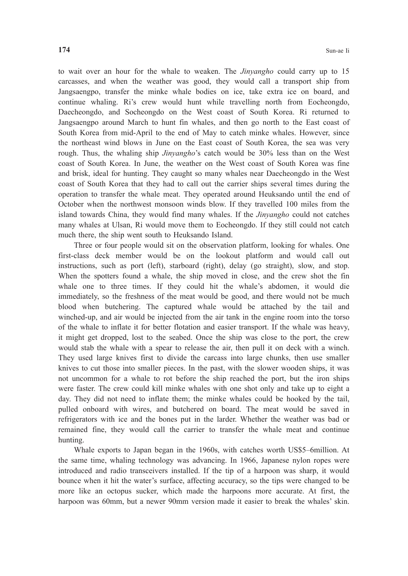to wait over an hour for the whale to weaken. The *Jinyangho* could carry up to 15 carcasses, and when the weather was good, they would call a transport ship from Jangsaengpo, transfer the minke whale bodies on ice, take extra ice on board, and continue whaling. Ri's crew would hunt while travelling north from Eocheongdo, Daecheongdo, and Socheongdo on the West coast of South Korea. Ri returned to Jangsaengpo around March to hunt fin whales, and then go north to the East coast of South Korea from mid-April to the end of May to catch minke whales. However, since the northeast wind blows in June on the East coast of South Korea, the sea was very rough. Thus, the whaling ship *Jinyangho*'s catch would be 30% less than on the West coast of South Korea. In June, the weather on the West coast of South Korea was fine and brisk, ideal for hunting. They caught so many whales near Daecheongdo in the West coast of South Korea that they had to call out the carrier ships several times during the operation to transfer the whale meat. They operated around Heuksando until the end of October when the northwest monsoon winds blow. If they travelled 100 miles from the island towards China, they would find many whales. If the *Jinyangho* could not catches many whales at Ulsan, Ri would move them to Eocheongdo. If they still could not catch much there, the ship went south to Heuksando Island.

Three or four people would sit on the observation platform, looking for whales. One first-class deck member would be on the lookout platform and would call out instructions, such as port (left), starboard (right), delay (go straight), slow, and stop. When the spotters found a whale, the ship moved in close, and the crew shot the fin whale one to three times. If they could hit the whale's abdomen, it would die immediately, so the freshness of the meat would be good, and there would not be much blood when butchering. The captured whale would be attached by the tail and winched-up, and air would be injected from the air tank in the engine room into the torso of the whale to inflate it for better flotation and easier transport. If the whale was heavy, it might get dropped, lost to the seabed. Once the ship was close to the port, the crew would stab the whale with a spear to release the air, then pull it on deck with a winch. They used large knives first to divide the carcass into large chunks, then use smaller knives to cut those into smaller pieces. In the past, with the slower wooden ships, it was not uncommon for a whale to rot before the ship reached the port, but the iron ships were faster. The crew could kill minke whales with one shot only and take up to eight a day. They did not need to inflate them; the minke whales could be hooked by the tail, pulled onboard with wires, and butchered on board. The meat would be saved in refrigerators with ice and the bones put in the larder. Whether the weather was bad or remained fine, they would call the carrier to transfer the whale meat and continue hunting.

Whale exports to Japan began in the 1960s, with catches worth US\$5–6million. At the same time, whaling technology was advancing. In 1966, Japanese nylon ropes were introduced and radio transceivers installed. If the tip of a harpoon was sharp, it would bounce when it hit the water's surface, affecting accuracy, so the tips were changed to be more like an octopus sucker, which made the harpoons more accurate. At first, the harpoon was 60mm, but a newer 90mm version made it easier to break the whales' skin.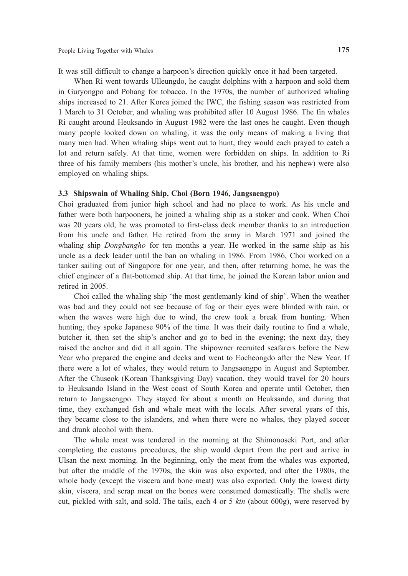It was still difficult to change a harpoon's direction quickly once it had been targeted.

When Ri went towards Ulleungdo, he caught dolphins with a harpoon and sold them in Guryongpo and Pohang for tobacco. In the 1970s, the number of authorized whaling ships increased to 21. After Korea joined the IWC, the fishing season was restricted from 1 March to 31 October, and whaling was prohibited after 10 August 1986. The fin whales Ri caught around Heuksando in August 1982 were the last ones he caught. Even though many people looked down on whaling, it was the only means of making a living that many men had. When whaling ships went out to hunt, they would each prayed to catch a lot and return safely. At that time, women were forbidden on ships. In addition to Ri three of his family members (his mother's uncle, his brother, and his nephew) were also employed on whaling ships.

#### **3.3 Shipswain of Whaling Ship, Choi (Born 1946, Jangsaengpo)**

Choi graduated from junior high school and had no place to work. As his uncle and father were both harpooners, he joined a whaling ship as a stoker and cook. When Choi was 20 years old, he was promoted to first-class deck member thanks to an introduction from his uncle and father. He retired from the army in March 1971 and joined the whaling ship *Dongbangho* for ten months a year. He worked in the same ship as his uncle as a deck leader until the ban on whaling in 1986. From 1986, Choi worked on a tanker sailing out of Singapore for one year, and then, after returning home, he was the chief engineer of a flat-bottomed ship. At that time, he joined the Korean labor union and retired in 2005.

Choi called the whaling ship 'the most gentlemanly kind of ship'. When the weather was bad and they could not see because of fog or their eyes were blinded with rain, or when the waves were high due to wind, the crew took a break from hunting. When hunting, they spoke Japanese 90% of the time. It was their daily routine to find a whale, butcher it, then set the ship's anchor and go to bed in the evening; the next day, they raised the anchor and did it all again. The shipowner recruited seafarers before the New Year who prepared the engine and decks and went to Eocheongdo after the New Year. If there were a lot of whales, they would return to Jangsaengpo in August and September. After the Chuseok (Korean Thanksgiving Day) vacation, they would travel for 20 hours to Heuksando Island in the West coast of South Korea and operate until October, then return to Jangsaengpo. They stayed for about a month on Heuksando, and during that time, they exchanged fish and whale meat with the locals. After several years of this, they became close to the islanders, and when there were no whales, they played soccer and drank alcohol with them.

The whale meat was tendered in the morning at the Shimonoseki Port, and after completing the customs procedures, the ship would depart from the port and arrive in Ulsan the next morning. In the beginning, only the meat from the whales was exported, but after the middle of the 1970s, the skin was also exported, and after the 1980s, the whole body (except the viscera and bone meat) was also exported. Only the lowest dirty skin, viscera, and scrap meat on the bones were consumed domestically. The shells were cut, pickled with salt, and sold. The tails, each 4 or 5 *kin* (about 600g), were reserved by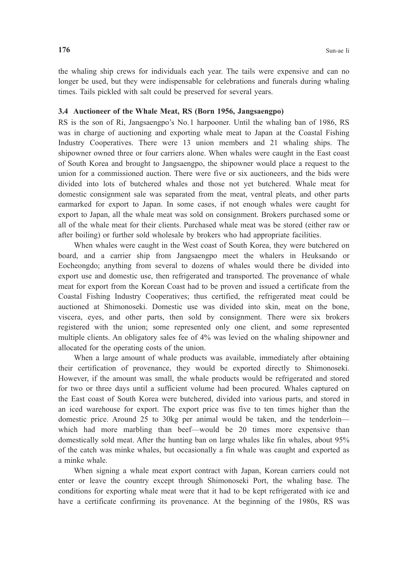the whaling ship crews for individuals each year. The tails were expensive and can no longer be used, but they were indispensable for celebrations and funerals during whaling times. Tails pickled with salt could be preserved for several years.

#### **3.4 Auctioneer of the Whale Meat, RS (Born 1956, Jangsaengpo)**

RS is the son of Ri, Jangsaengpo's No.1 harpooner. Until the whaling ban of 1986, RS was in charge of auctioning and exporting whale meat to Japan at the Coastal Fishing Industry Cooperatives. There were 13 union members and 21 whaling ships. The shipowner owned three or four carriers alone. When whales were caught in the East coast of South Korea and brought to Jangsaengpo, the shipowner would place a request to the union for a commissioned auction. There were five or six auctioneers, and the bids were divided into lots of butchered whales and those not yet butchered. Whale meat for domestic consignment sale was separated from the meat, ventral pleats, and other parts earmarked for export to Japan. In some cases, if not enough whales were caught for export to Japan, all the whale meat was sold on consignment. Brokers purchased some or all of the whale meat for their clients. Purchased whale meat was be stored (either raw or after boiling) or further sold wholesale by brokers who had appropriate facilities.

When whales were caught in the West coast of South Korea, they were butchered on board, and a carrier ship from Jangsaengpo meet the whalers in Heuksando or Eocheongdo; anything from several to dozens of whales would there be divided into export use and domestic use, then refrigerated and transported. The provenance of whale meat for export from the Korean Coast had to be proven and issued a certificate from the Coastal Fishing Industry Cooperatives; thus certified, the refrigerated meat could be auctioned at Shimonoseki. Domestic use was divided into skin, meat on the bone, viscera, eyes, and other parts, then sold by consignment. There were six brokers registered with the union; some represented only one client, and some represented multiple clients. An obligatory sales fee of 4% was levied on the whaling shipowner and allocated for the operating costs of the union.

When a large amount of whale products was available, immediately after obtaining their certification of provenance, they would be exported directly to Shimonoseki. However, if the amount was small, the whale products would be refrigerated and stored for two or three days until a sufficient volume had been procured. Whales captured on the East coast of South Korea were butchered, divided into various parts, and stored in an iced warehouse for export. The export price was five to ten times higher than the domestic price. Around 25 to 30kg per animal would be taken, and the tenderloin which had more marbling than beef—would be 20 times more expensive than domestically sold meat. After the hunting ban on large whales like fin whales, about 95% of the catch was minke whales, but occasionally a fin whale was caught and exported as a minke whale.

When signing a whale meat export contract with Japan, Korean carriers could not enter or leave the country except through Shimonoseki Port, the whaling base. The conditions for exporting whale meat were that it had to be kept refrigerated with ice and have a certificate confirming its provenance. At the beginning of the 1980s, RS was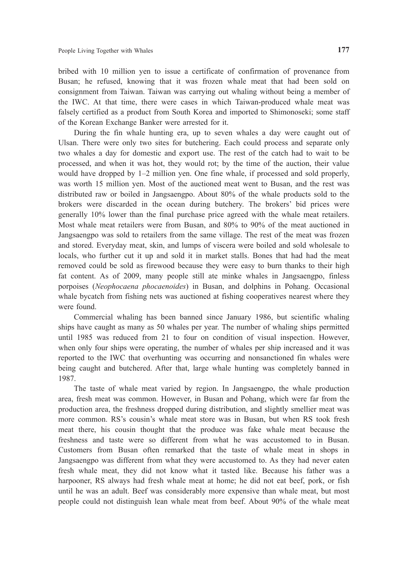bribed with 10 million yen to issue a certificate of confirmation of provenance from Busan; he refused, knowing that it was frozen whale meat that had been sold on consignment from Taiwan. Taiwan was carrying out whaling without being a member of the IWC. At that time, there were cases in which Taiwan-produced whale meat was falsely certified as a product from South Korea and imported to Shimonoseki; some staff of the Korean Exchange Banker were arrested for it.

During the fin whale hunting era, up to seven whales a day were caught out of Ulsan. There were only two sites for butchering. Each could process and separate only two whales a day for domestic and export use. The rest of the catch had to wait to be processed, and when it was hot, they would rot; by the time of the auction, their value would have dropped by 1–2 million yen. One fine whale, if processed and sold properly, was worth 15 million yen. Most of the auctioned meat went to Busan, and the rest was distributed raw or boiled in Jangsaengpo. About 80% of the whale products sold to the brokers were discarded in the ocean during butchery. The brokers' bid prices were generally 10% lower than the final purchase price agreed with the whale meat retailers. Most whale meat retailers were from Busan, and 80% to 90% of the meat auctioned in Jangsaengpo was sold to retailers from the same village. The rest of the meat was frozen and stored. Everyday meat, skin, and lumps of viscera were boiled and sold wholesale to locals, who further cut it up and sold it in market stalls. Bones that had had the meat removed could be sold as firewood because they were easy to burn thanks to their high fat content. As of 2009, many people still ate minke whales in Jangsaengpo, finless porpoises (*Neophocaena phocaenoides*) in Busan, and dolphins in Pohang. Occasional whale bycatch from fishing nets was auctioned at fishing cooperatives nearest where they were found.

Commercial whaling has been banned since January 1986, but scientific whaling ships have caught as many as 50 whales per year. The number of whaling ships permitted until 1985 was reduced from 21 to four on condition of visual inspection. However, when only four ships were operating, the number of whales per ship increased and it was reported to the IWC that overhunting was occurring and nonsanctioned fin whales were being caught and butchered. After that, large whale hunting was completely banned in 1987.

The taste of whale meat varied by region. In Jangsaengpo, the whale production area, fresh meat was common. However, in Busan and Pohang, which were far from the production area, the freshness dropped during distribution, and slightly smellier meat was more common. RS's cousin's whale meat store was in Busan, but when RS took fresh meat there, his cousin thought that the produce was fake whale meat because the freshness and taste were so different from what he was accustomed to in Busan. Customers from Busan often remarked that the taste of whale meat in shops in Jangsaengpo was different from what they were accustomed to. As they had never eaten fresh whale meat, they did not know what it tasted like. Because his father was a harpooner, RS always had fresh whale meat at home; he did not eat beef, pork, or fish until he was an adult. Beef was considerably more expensive than whale meat, but most people could not distinguish lean whale meat from beef. About 90% of the whale meat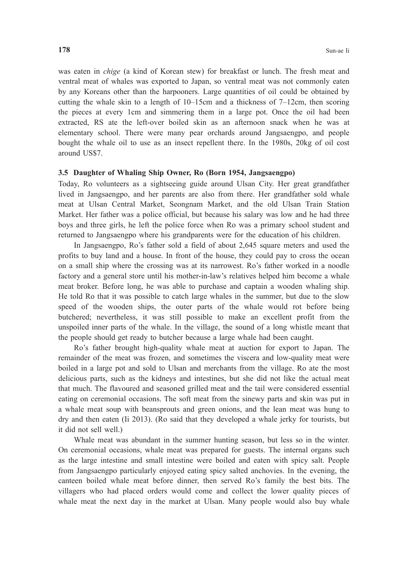was eaten in *chige* (a kind of Korean stew) for breakfast or lunch. The fresh meat and ventral meat of whales was exported to Japan, so ventral meat was not commonly eaten by any Koreans other than the harpooners. Large quantities of oil could be obtained by cutting the whale skin to a length of 10–15cm and a thickness of 7–12cm, then scoring the pieces at every 1cm and simmering them in a large pot. Once the oil had been extracted, RS ate the left-over boiled skin as an afternoon snack when he was at elementary school. There were many pear orchards around Jangsaengpo, and people bought the whale oil to use as an insect repellent there. In the 1980s, 20kg of oil cost around US\$7.

#### **3.5 Daughter of Whaling Ship Owner, Ro (Born 1954, Jangsaengpo)**

Today, Ro volunteers as a sightseeing guide around Ulsan City. Her great grandfather lived in Jangsaengpo, and her parents are also from there. Her grandfather sold whale meat at Ulsan Central Market, Seongnam Market, and the old Ulsan Train Station Market. Her father was a police official, but because his salary was low and he had three boys and three girls, he left the police force when Ro was a primary school student and returned to Jangsaengpo where his grandparents were for the education of his children.

In Jangsaengpo, Ro's father sold a field of about 2,645 square meters and used the profits to buy land and a house. In front of the house, they could pay to cross the ocean on a small ship where the crossing was at its narrowest. Ro's father worked in a noodle factory and a general store until his mother-in-law's relatives helped him become a whale meat broker. Before long, he was able to purchase and captain a wooden whaling ship. He told Ro that it was possible to catch large whales in the summer, but due to the slow speed of the wooden ships, the outer parts of the whale would rot before being butchered; nevertheless, it was still possible to make an excellent profit from the unspoiled inner parts of the whale. In the village, the sound of a long whistle meant that the people should get ready to butcher because a large whale had been caught.

Ro's father brought high-quality whale meat at auction for export to Japan. The remainder of the meat was frozen, and sometimes the viscera and low-quality meat were boiled in a large pot and sold to Ulsan and merchants from the village. Ro ate the most delicious parts, such as the kidneys and intestines, but she did not like the actual meat that much. The flavoured and seasoned grilled meat and the tail were considered essential eating on ceremonial occasions. The soft meat from the sinewy parts and skin was put in a whale meat soup with beansprouts and green onions, and the lean meat was hung to dry and then eaten (Ii 2013). (Ro said that they developed a whale jerky for tourists, but it did not sell well.)

Whale meat was abundant in the summer hunting season, but less so in the winter. On ceremonial occasions, whale meat was prepared for guests. The internal organs such as the large intestine and small intestine were boiled and eaten with spicy salt. People from Jangsaengpo particularly enjoyed eating spicy salted anchovies. In the evening, the canteen boiled whale meat before dinner, then served Ro's family the best bits. The villagers who had placed orders would come and collect the lower quality pieces of whale meat the next day in the market at Ulsan. Many people would also buy whale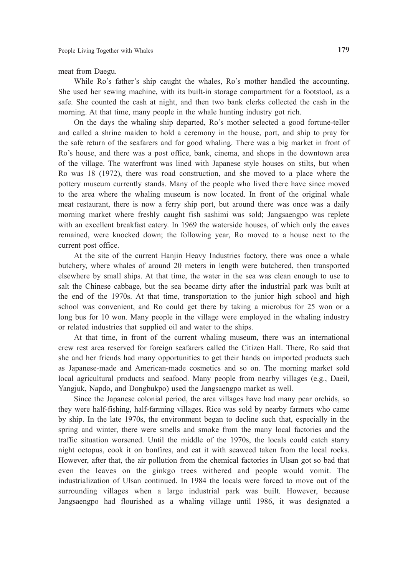meat from Daegu.

While Ro's father's ship caught the whales, Ro's mother handled the accounting. She used her sewing machine, with its built-in storage compartment for a footstool, as a safe. She counted the cash at night, and then two bank clerks collected the cash in the morning. At that time, many people in the whale hunting industry got rich.

On the days the whaling ship departed, Ro's mother selected a good fortune-teller and called a shrine maiden to hold a ceremony in the house, port, and ship to pray for the safe return of the seafarers and for good whaling. There was a big market in front of Ro's house, and there was a post office, bank, cinema, and shops in the downtown area of the village. The waterfront was lined with Japanese style houses on stilts, but when Ro was 18 (1972), there was road construction, and she moved to a place where the pottery museum currently stands. Many of the people who lived there have since moved to the area where the whaling museum is now located. In front of the original whale meat restaurant, there is now a ferry ship port, but around there was once was a daily morning market where freshly caught fish sashimi was sold; Jangsaengpo was replete with an excellent breakfast eatery. In 1969 the waterside houses, of which only the eaves remained, were knocked down; the following year, Ro moved to a house next to the current post office.

At the site of the current Hanjin Heavy Industries factory, there was once a whale butchery, where whales of around 20 meters in length were butchered, then transported elsewhere by small ships. At that time, the water in the sea was clean enough to use to salt the Chinese cabbage, but the sea became dirty after the industrial park was built at the end of the 1970s. At that time, transportation to the junior high school and high school was convenient, and Ro could get there by taking a microbus for 25 won or a long bus for 10 won. Many people in the village were employed in the whaling industry or related industries that supplied oil and water to the ships.

At that time, in front of the current whaling museum, there was an international crew rest area reserved for foreign seafarers called the Citizen Hall. There, Ro said that she and her friends had many opportunities to get their hands on imported products such as Japanese-made and American-made cosmetics and so on. The morning market sold local agricultural products and seafood. Many people from nearby villages (e.g., Daeil, Yangjuk, Napdo, and Dongbukpo) used the Jangsaengpo market as well.

Since the Japanese colonial period, the area villages have had many pear orchids, so they were half-fishing, half-farming villages. Rice was sold by nearby farmers who came by ship. In the late 1970s, the environment began to decline such that, especially in the spring and winter, there were smells and smoke from the many local factories and the traffic situation worsened. Until the middle of the 1970s, the locals could catch starry night octopus, cook it on bonfires, and eat it with seaweed taken from the local rocks. However, after that, the air pollution from the chemical factories in Ulsan got so bad that even the leaves on the ginkgo trees withered and people would vomit. The industrialization of Ulsan continued. In 1984 the locals were forced to move out of the surrounding villages when a large industrial park was built. However, because Jangsaengpo had flourished as a whaling village until 1986, it was designated a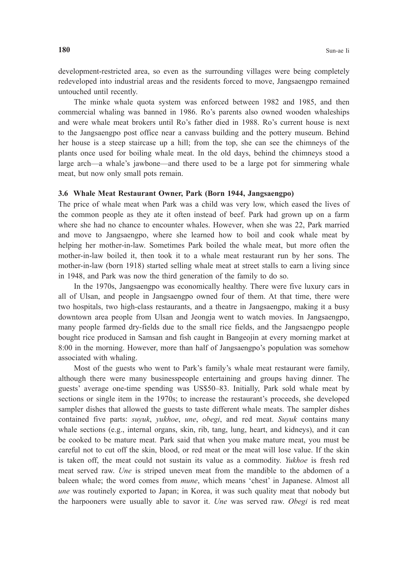development-restricted area, so even as the surrounding villages were being completely redeveloped into industrial areas and the residents forced to move, Jangsaengpo remained untouched until recently.

The minke whale quota system was enforced between 1982 and 1985, and then commercial whaling was banned in 1986. Ro's parents also owned wooden whaleships and were whale meat brokers until Ro's father died in 1988. Ro's current house is next to the Jangsaengpo post office near a canvass building and the pottery museum. Behind her house is a steep staircase up a hill; from the top, she can see the chimneys of the plants once used for boiling whale meat. In the old days, behind the chimneys stood a large arch—a whale's jawbone—and there used to be a large pot for simmering whale meat, but now only small pots remain.

#### **3.6 Whale Meat Restaurant Owner, Park (Born 1944, Jangsaengpo)**

The price of whale meat when Park was a child was very low, which eased the lives of the common people as they ate it often instead of beef. Park had grown up on a farm where she had no chance to encounter whales. However, when she was 22, Park married and move to Jangsaengpo, where she learned how to boil and cook whale meat by helping her mother-in-law. Sometimes Park boiled the whale meat, but more often the mother-in-law boiled it, then took it to a whale meat restaurant run by her sons. The mother-in-law (born 1918) started selling whale meat at street stalls to earn a living since in 1948, and Park was now the third generation of the family to do so.

In the 1970s, Jangsaengpo was economically healthy. There were five luxury cars in all of Ulsan, and people in Jangsaengpo owned four of them. At that time, there were two hospitals, two high-class restaurants, and a theatre in Jangsaengpo, making it a busy downtown area people from Ulsan and Jeongja went to watch movies. In Jangsaengpo, many people farmed dry-fields due to the small rice fields, and the Jangsaengpo people bought rice produced in Samsan and fish caught in Bangeojin at every morning market at 8:00 in the morning. However, more than half of Jangsaengpo's population was somehow associated with whaling.

Most of the guests who went to Park's family's whale meat restaurant were family, although there were many businesspeople entertaining and groups having dinner. The guests' average one-time spending was US\$50–83. Initially, Park sold whale meat by sections or single item in the 1970s; to increase the restaurant's proceeds, she developed sampler dishes that allowed the guests to taste different whale meats. The sampler dishes contained five parts: *suyuk*, *yukhoe*, *une*, *obegi*, and red meat. *Suyuk* contains many whale sections (e.g., internal organs, skin, rib, tang, lung, heart, and kidneys), and it can be cooked to be mature meat. Park said that when you make mature meat, you must be careful not to cut off the skin, blood, or red meat or the meat will lose value. If the skin is taken off, the meat could not sustain its value as a commodity. *Yukhoe* is fresh red meat served raw. *Une* is striped uneven meat from the mandible to the abdomen of a baleen whale; the word comes from *mune*, which means 'chest' in Japanese. Almost all *une* was routinely exported to Japan; in Korea, it was such quality meat that nobody but the harpooners were usually able to savor it. *Une* was served raw. *Obegi* is red meat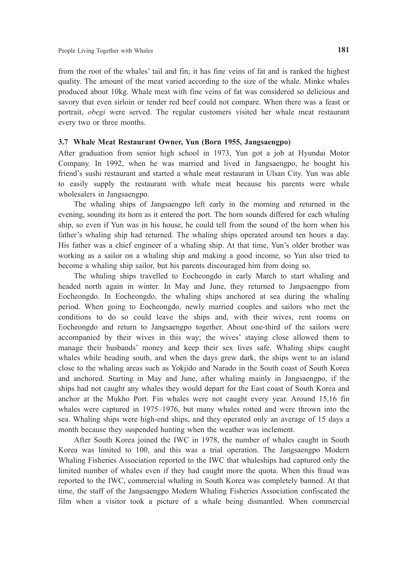from the root of the whales' tail and fin; it has fine veins of fat and is ranked the highest quality. The amount of the meat varied according to the size of the whale. Minke whales produced about 10kg. Whale meat with fine veins of fat was considered so delicious and savory that even sirloin or tender red beef could not compare. When there was a feast or portrait, *obegi* were served. The regular customers visited her whale meat restaurant every two or three months.

#### **3.7 Whale Meat Restaurant Owner, Yun (Born 1955, Jangsaengpo)**

After graduation from senior high school in 1973, Yun got a job at Hyundai Motor Company. In 1992, when he was married and lived in Jangsaengpo, he bought his friend's sushi restaurant and started a whale meat restaurant in Ulsan City. Yun was able to easily supply the restaurant with whale meat because his parents were whale wholesalers in Jangsaengpo.

The whaling ships of Jangsaengpo left early in the morning and returned in the evening, sounding its horn as it entered the port. The horn sounds differed for each whaling ship, so even if Yun was in his house, he could tell from the sound of the horn when his father's whaling ship had returned. The whaling ships operated around ten hours a day. His father was a chief engineer of a whaling ship. At that time, Yun's older brother was working as a sailor on a whaling ship and making a good income, so Yun also tried to become a whaling ship sailor, but his parents discouraged him from doing so.

The whaling ships travelled to Eocheongdo in early March to start whaling and headed north again in winter. In May and June, they returned to Jangsaengpo from Eocheongdo. In Eocheongdo, the whaling ships anchored at sea during the whaling period. When going to Eocheongdo, newly married couples and sailors who met the conditions to do so could leave the ships and, with their wives, rent rooms on Eocheongdo and return to Jangsaengpo together. About one-third of the sailors were accompanied by their wives in this way; the wives' staying close allowed them to manage their husbands' money and keep their sex lives safe. Whaling ships caught whales while heading south, and when the days grew dark, the ships went to an island close to the whaling areas such as Yokjido and Narado in the South coast of South Korea and anchored. Starting in May and June, after whaling mainly in Jangsaengpo, if the ships had not caught any whales they would depart for the East coast of South Korea and anchor at the Mukho Port. Fin whales were not caught every year. Around 15,16 fin whales were captured in 1975–1976, but many whales rotted and were thrown into the sea. Whaling ships were high-end ships, and they operated only an average of 15 days a month because they suspended hunting when the weather was inclement.

After South Korea joined the IWC in 1978, the number of whales caught in South Korea was limited to 100, and this was a trial operation. The Jangsaengpo Modern Whaling Fisheries Association reported to the IWC that whaleships had captured only the limited number of whales even if they had caught more the quota. When this fraud was reported to the IWC, commercial whaling in South Korea was completely banned. At that time, the staff of the Jangsaengpo Modern Whaling Fisheries Association confiscated the film when a visitor took a picture of a whale being dismantled. When commercial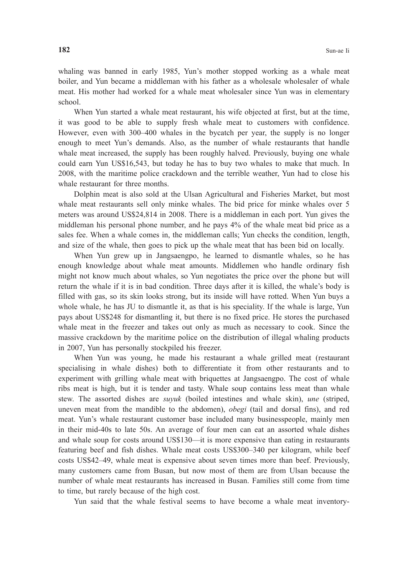whaling was banned in early 1985, Yun's mother stopped working as a whale meat boiler, and Yun became a middleman with his father as a wholesale wholesaler of whale meat. His mother had worked for a whale meat wholesaler since Yun was in elementary school.

When Yun started a whale meat restaurant, his wife objected at first, but at the time, it was good to be able to supply fresh whale meat to customers with confidence. However, even with 300–400 whales in the bycatch per year, the supply is no longer enough to meet Yun's demands. Also, as the number of whale restaurants that handle whale meat increased, the supply has been roughly halved. Previously, buying one whale could earn Yun US\$16,543, but today he has to buy two whales to make that much. In 2008, with the maritime police crackdown and the terrible weather, Yun had to close his whale restaurant for three months.

Dolphin meat is also sold at the Ulsan Agricultural and Fisheries Market, but most whale meat restaurants sell only minke whales. The bid price for minke whales over 5 meters was around US\$24,814 in 2008. There is a middleman in each port. Yun gives the middleman his personal phone number, and he pays 4% of the whale meat bid price as a sales fee. When a whale comes in, the middleman calls; Yun checks the condition, length, and size of the whale, then goes to pick up the whale meat that has been bid on locally.

When Yun grew up in Jangsaengpo, he learned to dismantle whales, so he has enough knowledge about whale meat amounts. Middlemen who handle ordinary fish might not know much about whales, so Yun negotiates the price over the phone but will return the whale if it is in bad condition. Three days after it is killed, the whale's body is filled with gas, so its skin looks strong, but its inside will have rotted. When Yun buys a whole whale, he has JU to dismantle it, as that is his speciality. If the whale is large, Yun pays about US\$248 for dismantling it, but there is no fixed price. He stores the purchased whale meat in the freezer and takes out only as much as necessary to cook. Since the massive crackdown by the maritime police on the distribution of illegal whaling products in 2007, Yun has personally stockpiled his freezer.

When Yun was young, he made his restaurant a whale grilled meat (restaurant specialising in whale dishes) both to differentiate it from other restaurants and to experiment with grilling whale meat with briquettes at Jangsaengpo. The cost of whale ribs meat is high, but it is tender and tasty. Whale soup contains less meat than whale stew. The assorted dishes are *suyuk* (boiled intestines and whale skin), *une* (striped, uneven meat from the mandible to the abdomen), *obegi* (tail and dorsal fins), and red meat. Yun's whale restaurant customer base included many businesspeople, mainly men in their mid-40s to late 50s. An average of four men can eat an assorted whale dishes and whale soup for costs around US\$130—it is more expensive than eating in restaurants featuring beef and fish dishes. Whale meat costs US\$300–340 per kilogram, while beef costs US\$42–49, whale meat is expensive about seven times more than beef. Previously, many customers came from Busan, but now most of them are from Ulsan because the number of whale meat restaurants has increased in Busan. Families still come from time to time, but rarely because of the high cost.

Yun said that the whale festival seems to have become a whale meat inventory-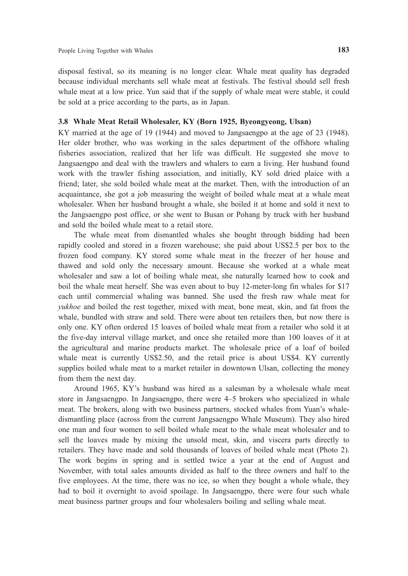disposal festival, so its meaning is no longer clear. Whale meat quality has degraded because individual merchants sell whale meat at festivals. The festival should sell fresh whale meat at a low price. Yun said that if the supply of whale meat were stable, it could be sold at a price according to the parts, as in Japan.

# **3.8 Whale Meat Retail Wholesaler, KY (Born 1925, Byeongyeong, Ulsan)**

KY married at the age of 19 (1944) and moved to Jangsaengpo at the age of 23 (1948). Her older brother, who was working in the sales department of the offshore whaling fisheries association, realized that her life was difficult. He suggested she move to Jangsaengpo and deal with the trawlers and whalers to earn a living. Her husband found work with the trawler fishing association, and initially, KY sold dried plaice with a friend; later, she sold boiled whale meat at the market. Then, with the introduction of an acquaintance, she got a job measuring the weight of boiled whale meat at a whale meat wholesaler. When her husband brought a whale, she boiled it at home and sold it next to the Jangsaengpo post office, or she went to Busan or Pohang by truck with her husband and sold the boiled whale meat to a retail store.

The whale meat from dismantled whales she bought through bidding had been rapidly cooled and stored in a frozen warehouse; she paid about US\$2.5 per box to the frozen food company. KY stored some whale meat in the freezer of her house and thawed and sold only the necessary amount. Because she worked at a whale meat wholesaler and saw a lot of boiling whale meat, she naturally learned how to cook and boil the whale meat herself. She was even about to buy 12-meter-long fin whales for \$17 each until commercial whaling was banned. She used the fresh raw whale meat for *yukhoe* and boiled the rest together, mixed with meat, bone meat, skin, and fat from the whale, bundled with straw and sold. There were about ten retailers then, but now there is only one. KY often ordered 15 loaves of boiled whale meat from a retailer who sold it at the five-day interval village market, and once she retailed more than 100 loaves of it at the agricultural and marine products market. The wholesale price of a loaf of boiled whale meat is currently US\$2.50, and the retail price is about US\$4. KY currently supplies boiled whale meat to a market retailer in downtown Ulsan, collecting the money from them the next day.

Around 1965, KY's husband was hired as a salesman by a wholesale whale meat store in Jangsaengpo. In Jangsaengpo, there were 4–5 brokers who specialized in whale meat. The brokers, along with two business partners, stocked whales from Yuan's whaledismantling place (across from the current Jangsaengpo Whale Museum). They also hired one man and four women to sell boiled whale meat to the whale meat wholesaler and to sell the loaves made by mixing the unsold meat, skin, and viscera parts directly to retailers. They have made and sold thousands of loaves of boiled whale meat (Photo 2). The work begins in spring and is settled twice a year at the end of August and November, with total sales amounts divided as half to the three owners and half to the five employees. At the time, there was no ice, so when they bought a whole whale, they had to boil it overnight to avoid spoilage. In Jangsaengpo, there were four such whale meat business partner groups and four wholesalers boiling and selling whale meat.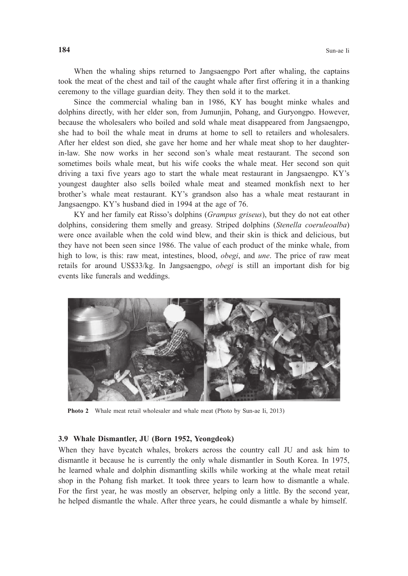When the whaling ships returned to Jangsaengpo Port after whaling, the captains took the meat of the chest and tail of the caught whale after first offering it in a thanking ceremony to the village guardian deity. They then sold it to the market.

 Since the commercial whaling ban in 1986, KY has bought minke whales and dolphins directly, with her elder son, from Jumunjin, Pohang, and Guryongpo. However, because the wholesalers who boiled and sold whale meat disappeared from Jangsaengpo, she had to boil the whale meat in drums at home to sell to retailers and wholesalers. After her eldest son died, she gave her home and her whale meat shop to her daughterin-law. She now works in her second son's whale meat restaurant. The second son sometimes boils whale meat, but his wife cooks the whale meat. Her second son quit driving a taxi five years ago to start the whale meat restaurant in Jangsaengpo. KY's youngest daughter also sells boiled whale meat and steamed monkfish next to her brother's whale meat restaurant. KY's grandson also has a whale meat restaurant in Jangsaengpo. KY's husband died in 1994 at the age of 76.

 KY and her family eat Risso's dolphins (*Grampus griseus*), but they do not eat other dolphins, considering them smelly and greasy. Striped dolphins (*Stenella coeruleoalba*) were once available when the cold wind blew, and their skin is thick and delicious, but they have not been seen since 1986. The value of each product of the minke whale, from high to low, is this: raw meat, intestines, blood, *obegi*, and *une*. The price of raw meat retails for around US\$33/kg. In Jangsaengpo, *obegi* is still an important dish for big events like funerals and weddings.



**Photo 2** Whale meat retail wholesaler and whale meat (Photo by Sun-ae Ii, 2013)

#### **3.9 Whale Dismantler, JU (Born 1952, Yeongdeok)**

When they have bycatch whales, brokers across the country call JU and ask him to dismantle it because he is currently the only whale dismantler in South Korea. In 1975, he learned whale and dolphin dismantling skills while working at the whale meat retail shop in the Pohang fish market. It took three years to learn how to dismantle a whale. For the first year, he was mostly an observer, helping only a little. By the second year, he helped dismantle the whale. After three years, he could dismantle a whale by himself.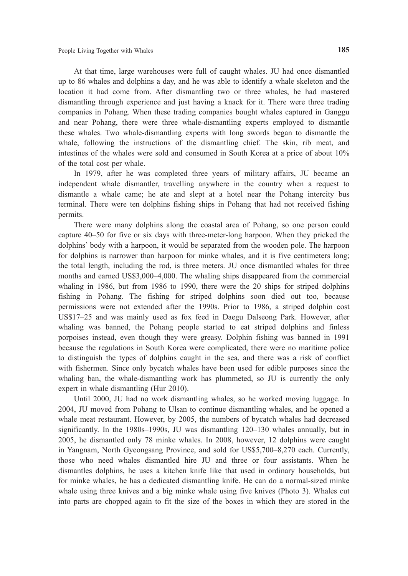At that time, large warehouses were full of caught whales. JU had once dismantled up to 86 whales and dolphins a day, and he was able to identify a whale skeleton and the location it had come from. After dismantling two or three whales, he had mastered dismantling through experience and just having a knack for it. There were three trading companies in Pohang. When these trading companies bought whales captured in Ganggu and near Pohang, there were three whale-dismantling experts employed to dismantle these whales. Two whale-dismantling experts with long swords began to dismantle the whale, following the instructions of the dismantling chief. The skin, rib meat, and intestines of the whales were sold and consumed in South Korea at a price of about 10% of the total cost per whale.

In 1979, after he was completed three years of military affairs, JU became an independent whale dismantler, travelling anywhere in the country when a request to dismantle a whale came; he ate and slept at a hotel near the Pohang intercity bus terminal. There were ten dolphins fishing ships in Pohang that had not received fishing permits.

There were many dolphins along the coastal area of Pohang, so one person could capture 40–50 for five or six days with three-meter-long harpoon. When they pricked the dolphins' body with a harpoon, it would be separated from the wooden pole. The harpoon for dolphins is narrower than harpoon for minke whales, and it is five centimeters long; the total length, including the rod, is three meters. JU once dismantled whales for three months and earned US\$3,000–4,000. The whaling ships disappeared from the commercial whaling in 1986, but from 1986 to 1990, there were the 20 ships for striped dolphins fishing in Pohang. The fishing for striped dolphins soon died out too, because permissions were not extended after the 1990s. Prior to 1986, a striped dolphin cost US\$17–25 and was mainly used as fox feed in Daegu Dalseong Park. However, after whaling was banned, the Pohang people started to eat striped dolphins and finless porpoises instead, even though they were greasy. Dolphin fishing was banned in 1991 because the regulations in South Korea were complicated, there were no maritime police to distinguish the types of dolphins caught in the sea, and there was a risk of conflict with fishermen. Since only bycatch whales have been used for edible purposes since the whaling ban, the whale-dismantling work has plummeted, so JU is currently the only expert in whale dismantling (Hur 2010).

Until 2000, JU had no work dismantling whales, so he worked moving luggage. In 2004, JU moved from Pohang to Ulsan to continue dismantling whales, and he opened a whale meat restaurant. However, by 2005, the numbers of bycatch whales had decreased significantly. In the 1980s–1990s, JU was dismantling 120–130 whales annually, but in 2005, he dismantled only 78 minke whales. In 2008, however, 12 dolphins were caught in Yangnam, North Gyeongsang Province, and sold for US\$5,700–8,270 each. Currently, those who need whales dismantled hire JU and three or four assistants. When he dismantles dolphins, he uses a kitchen knife like that used in ordinary households, but for minke whales, he has a dedicated dismantling knife. He can do a normal-sized minke whale using three knives and a big minke whale using five knives (Photo 3). Whales cut into parts are chopped again to fit the size of the boxes in which they are stored in the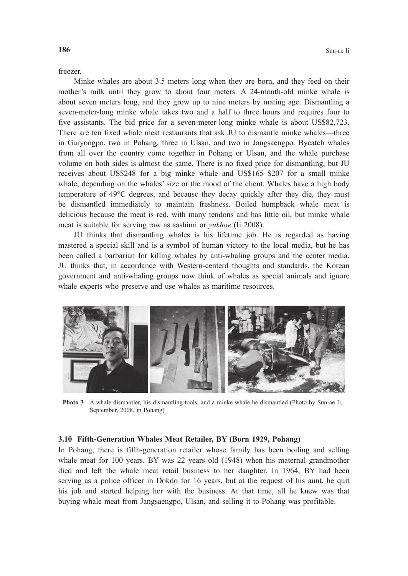freezer.

 Minke whales are about 3.5 meters long when they are born, and they feed on their mother's milk until they grow to about four meters. A 24-month-old minke whale is about seven meters long, and they grow up to nine meters by mating age. Dismantling a seven-meter-long minke whale takes two and a half to three hours and requires four to five assistants. The bid price for a seven-meter-long minke whale is about US\$82,723. There are ten fixed whale meat restaurants that ask JU to dismantle minke whales—three in Guryongpo, two in Pohang, three in Ulsan, and two in Jangsaengpo. Bycatch whales from all over the country come together in Pohang or Ulsan, and the whale purchase volume on both sides is almost the same. There is no fixed price for dismantling, but JU receives about US\$248 for a big minke whale and US\$165–\$207 for a small minke whale, depending on the whales' size or the mood of the client. Whales have a high body temperature of 49°C degrees, and because they decay quickly after they die, they must be dismantled immediately to maintain freshness. Boiled humpback whale meat is delicious because the meat is red, with many tendons and has little oil, but minke whale meat is suitable for serving raw as sashimi or *yukhoe* (Ii 2008).

 JU thinks that dismantling whales is his lifetime job. He is regarded as having mastered a special skill and is a symbol of human victory to the local media, but he has been called a barbarian for killing whales by anti-whaling groups and the center media. JU thinks that, in accordance with Western-centerd thoughts and standards, the Korean government and anti-whaling groups now think of whales as special animals and ignore whale experts who preserve and use whales as maritime resources.



**Photo 3** A whale dismantler, his dismantling tools, and a minke whale he dismantled (Photo by Sun-ae Ii, September, 2008, in Pohang)

#### **3.10 Fifth-Generation Whales Meat Retailer, BY (Born 1929, Pohang)**

In Pohang, there is fifth-generation retailer whose family has been boiling and selling whale meat for 100 years. BY was 22 years old (1948) when his maternal grandmother died and left the whale meat retail business to her daughter. In 1964, BY had been serving as a police officer in Dokdo for 16 years, but at the request of his aunt, he quit his job and started helping her with the business. At that time, all he knew was that buying whale meat from Jangsaengpo, Ulsan, and selling it to Pohang was profitable.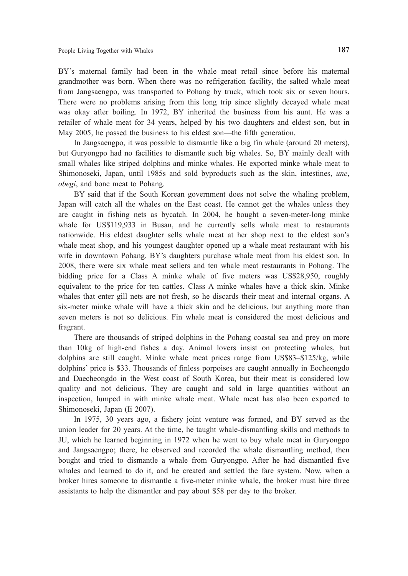BY's maternal family had been in the whale meat retail since before his maternal grandmother was born. When there was no refrigeration facility, the salted whale meat from Jangsaengpo, was transported to Pohang by truck, which took six or seven hours. There were no problems arising from this long trip since slightly decayed whale meat was okay after boiling. In 1972, BY inherited the business from his aunt. He was a retailer of whale meat for 34 years, helped by his two daughters and eldest son, but in May 2005, he passed the business to his eldest son—the fifth generation.

In Jangsaengpo, it was possible to dismantle like a big fin whale (around 20 meters), but Guryongpo had no facilities to dismantle such big whales. So, BY mainly dealt with small whales like striped dolphins and minke whales. He exported minke whale meat to Shimonoseki, Japan, until 1985s and sold byproducts such as the skin, intestines, *une*, *obegi*, and bone meat to Pohang.

BY said that if the South Korean government does not solve the whaling problem, Japan will catch all the whales on the East coast. He cannot get the whales unless they are caught in fishing nets as bycatch. In 2004, he bought a seven-meter-long minke whale for US\$119,933 in Busan, and he currently sells whale meat to restaurants nationwide. His eldest daughter sells whale meat at her shop next to the eldest son's whale meat shop, and his youngest daughter opened up a whale meat restaurant with his wife in downtown Pohang. BY's daughters purchase whale meat from his eldest son. In 2008, there were six whale meat sellers and ten whale meat restaurants in Pohang. The bidding price for a Class A minke whale of five meters was US\$28,950, roughly equivalent to the price for ten cattles. Class A minke whales have a thick skin. Minke whales that enter gill nets are not fresh, so he discards their meat and internal organs. A six-meter minke whale will have a thick skin and be delicious, but anything more than seven meters is not so delicious. Fin whale meat is considered the most delicious and fragrant.

There are thousands of striped dolphins in the Pohang coastal sea and prey on more than 10kg of high-end fishes a day. Animal lovers insist on protecting whales, but dolphins are still caught. Minke whale meat prices range from US\$83–\$125/kg, while dolphins' price is \$33. Thousands of finless porpoises are caught annually in Eocheongdo and Daecheongdo in the West coast of South Korea, but their meat is considered low quality and not delicious. They are caught and sold in large quantities without an inspection, lumped in with minke whale meat. Whale meat has also been exported to Shimonoseki, Japan (Ii 2007).

In 1975, 30 years ago, a fishery joint venture was formed, and BY served as the union leader for 20 years. At the time, he taught whale-dismantling skills and methods to JU, which he learned beginning in 1972 when he went to buy whale meat in Guryongpo and Jangsaengpo; there, he observed and recorded the whale dismantling method, then bought and tried to dismantle a whale from Guryongpo. After he had dismantled five whales and learned to do it, and he created and settled the fare system. Now, when a broker hires someone to dismantle a five-meter minke whale, the broker must hire three assistants to help the dismantler and pay about \$58 per day to the broker.